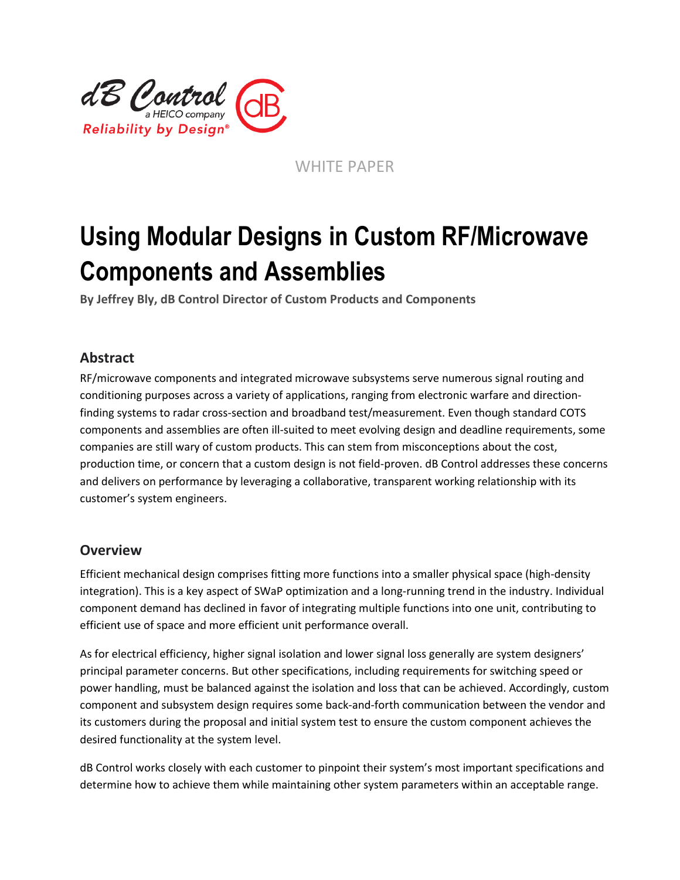

WHITE PAPER

# **Using Modular Designs in Custom RF/Microwave Components and Assemblies**

**By Jeffrey Bly, dB Control Director of Custom Products and Components**

### **Abstract**

RF/microwave components and integrated microwave subsystems serve numerous signal routing and conditioning purposes across a variety of applications, ranging from electronic warfare and directionfinding systems to radar cross-section and broadband test/measurement. Even though standard COTS components and assemblies are often ill-suited to meet evolving design and deadline requirements, some companies are still wary of custom products. This can stem from misconceptions about the cost, production time, or concern that a custom design is not field-proven. dB Control addresses these concerns and delivers on performance by leveraging a collaborative, transparent working relationship with its customer's system engineers.

#### **Overview**

Efficient mechanical design comprises fitting more functions into a smaller physical space (high-density integration). This is a key aspect of SWaP optimization and a long-running trend in the industry. Individual component demand has declined in favor of integrating multiple functions into one unit, contributing to efficient use of space and more efficient unit performance overall.

As for electrical efficiency, higher signal isolation and lower signal loss generally are system designers' principal parameter concerns. But other specifications, including requirements for switching speed or power handling, must be balanced against the isolation and loss that can be achieved. Accordingly, custom component and subsystem design requires some back-and-forth communication between the vendor and its customers during the proposal and initial system test to ensure the custom component achieves the desired functionality at the system level.

dB Control works closely with each customer to pinpoint their system's most important specifications and determine how to achieve them while maintaining other system parameters within an acceptable range.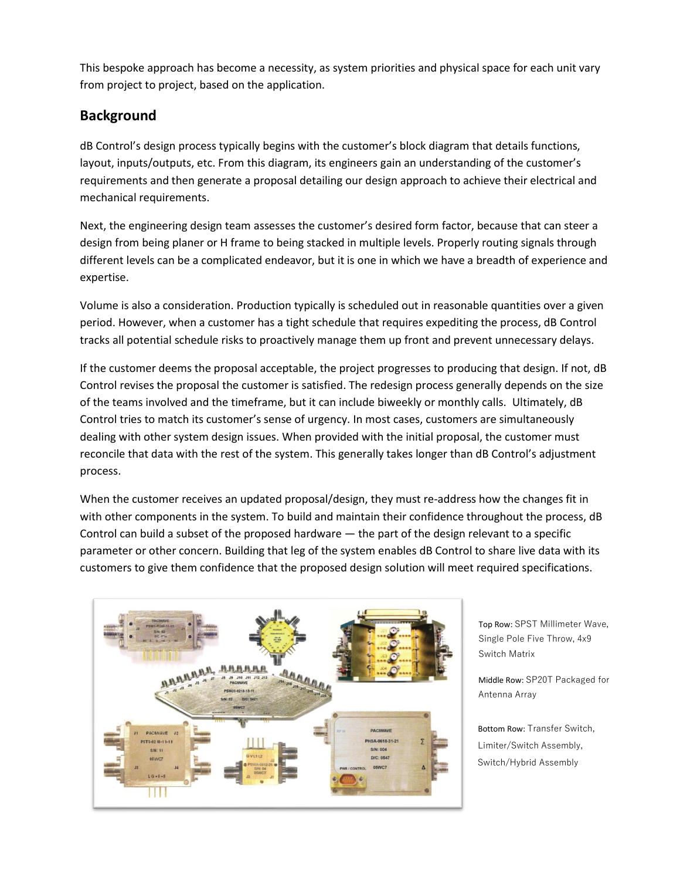This bespoke approach has become a necessity, as system priorities and physical space for each unit vary from project to project, based on the application.

## **Background**

dB Control's design process typically begins with the customer's block diagram that details functions, layout, inputs/outputs, etc. From this diagram, its engineers gain an understanding of the customer's requirements and then generate a proposal detailing our design approach to achieve their electrical and mechanical requirements.

Next, the engineering design team assesses the customer's desired form factor, because that can steer a design from being planer or H frame to being stacked in multiple levels. Properly routing signals through different levels can be a complicated endeavor, but it is one in which we have a breadth of experience and expertise.

Volume is also a consideration. Production typically is scheduled out in reasonable quantities over a given period. However, when a customer has a tight schedule that requires expediting the process, dB Control tracks all potential schedule risks to proactively manage them up front and prevent unnecessary delays.

If the customer deems the proposal acceptable, the project progresses to producing that design. If not, dB Control revises the proposal the customer is satisfied. The redesign process generally depends on the size of the teams involved and the timeframe, but it can include biweekly or monthly calls. Ultimately, dB Control tries to match its customer's sense of urgency. In most cases, customers are simultaneously dealing with other system design issues. When provided with the initial proposal, the customer must reconcile that data with the rest of the system. This generally takes longer than dB Control's adjustment process.

When the customer receives an updated proposal/design, they must re-address how the changes fit in with other components in the system. To build and maintain their confidence throughout the process, dB Control can build a subset of the proposed hardware — the part of the design relevant to a specific parameter or other concern. Building that leg of the system enables dB Control to share live data with its customers to give them confidence that the proposed design solution will meet required specifications.



Top Row: SPST Millimeter Wave, Single Pole Five Throw, 4x9 Switch Matrix

Middle Row: SP20T Packaged for Antenna Array

Bottom Row: Transfer Switch, Limiter/Switch Assembly, Switch/Hybrid Assembly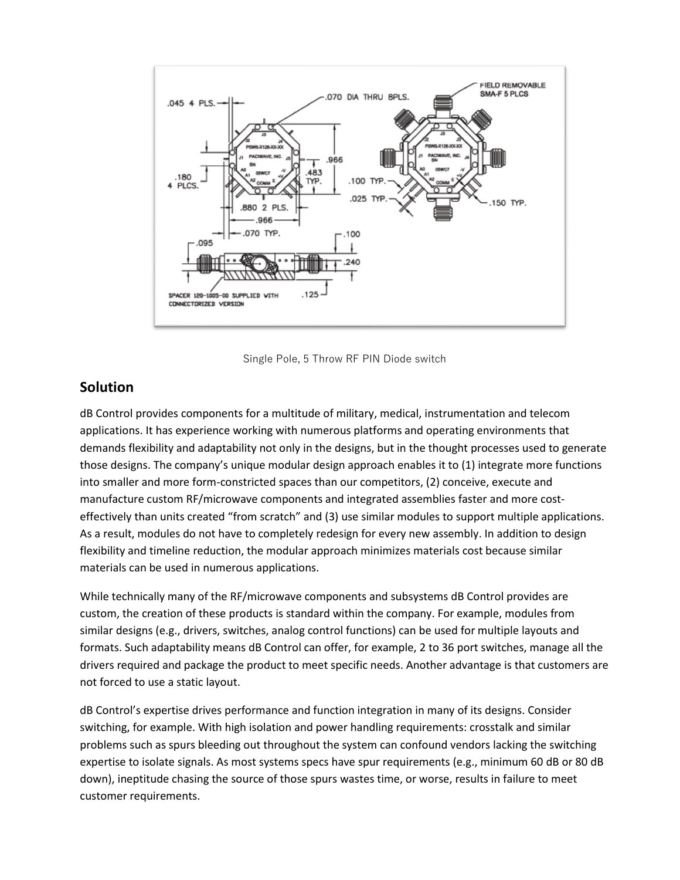

Single Pole, 5 Throw RF PIN Diode switch

#### **Solution**

dB Control provides components for a multitude of military, medical, instrumentation and telecom applications. It has experience working with numerous platforms and operating environments that demands flexibility and adaptability not only in the designs, but in the thought processes used to generate those designs. The company's unique modular design approach enables it to (1) integrate more functions into smaller and more form-constricted spaces than our competitors, (2) conceive, execute and manufacture custom RF/microwave components and integrated assemblies faster and more costeffectively than units created "from scratch" and (3) use similar modules to support multiple applications. As a result, modules do not have to completely redesign for every new assembly. In addition to design flexibility and timeline reduction, the modular approach minimizes materials cost because similar materials can be used in numerous applications.

While technically many of the RF/microwave components and subsystems dB Control provides are custom, the creation of these products is standard within the company. For example, modules from similar designs (e.g., drivers, switches, analog control functions) can be used for multiple layouts and formats. Such adaptability means dB Control can offer, for example, 2 to 36 port switches, manage all the drivers required and package the product to meet specific needs. Another advantage is that customers are not forced to use a static layout.

dB Control's expertise drives performance and function integration in many of its designs. Consider switching, for example. With high isolation and power handling requirements: crosstalk and similar problems such as spurs bleeding out throughout the system can confound vendors lacking the switching expertise to isolate signals. As most systems specs have spur requirements (e.g., minimum 60 dB or 80 dB down), ineptitude chasing the source of those spurs wastes time, or worse, results in failure to meet customer requirements.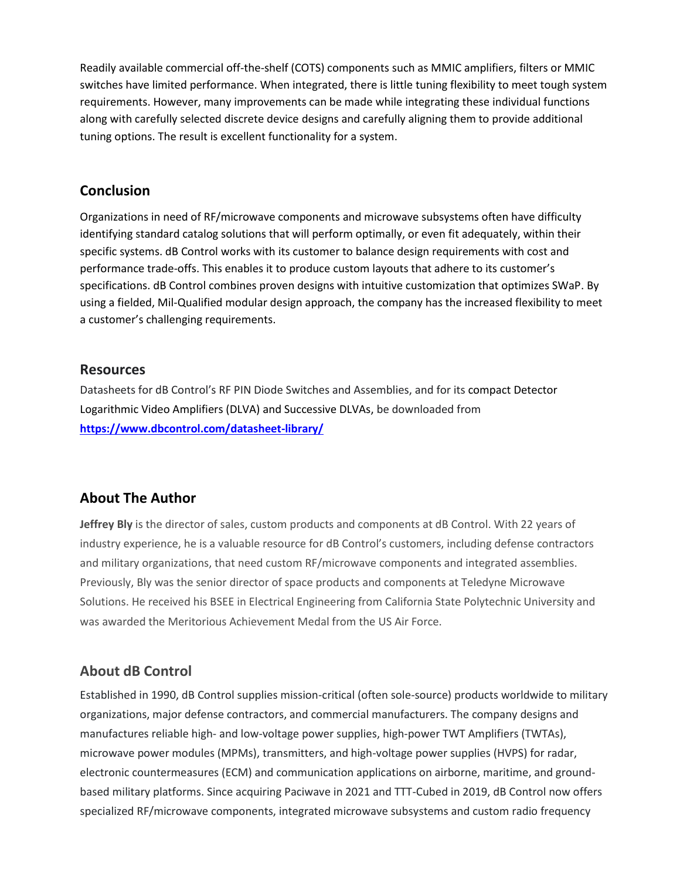Readily available commercial off-the-shelf (COTS) components such as MMIC amplifiers, filters or MMIC switches have limited performance. When integrated, there is little tuning flexibility to meet tough system requirements. However, many improvements can be made while integrating these individual functions along with carefully selected discrete device designs and carefully aligning them to provide additional tuning options. The result is excellent functionality for a system.

#### **Conclusion**

Organizations in need of RF/microwave components and microwave subsystems often have difficulty identifying standard catalog solutions that will perform optimally, or even fit adequately, within their specific systems. dB Control works with its customer to balance design requirements with cost and performance trade-offs. This enables it to produce custom layouts that adhere to its customer's specifications. dB Control combines proven designs with intuitive customization that optimizes SWaP. By using a fielded, Mil-Qualified modular design approach, the company has the increased flexibility to meet a customer's challenging requirements.

#### **Resources**

Datasheets for dB Control's RF PIN Diode Switches and Assemblies, and for its compact Detector Logarithmic Video Amplifiers (DLVA) and Successive DLVAs, be downloaded from **<https://www.dbcontrol.com/datasheet-library/>**

## **About The Author**

**Jeffrey Bly** is the director of sales, custom products and components at dB Control. With 22 years of industry experience, he is a valuable resource for dB Control's customers, including defense contractors and military organizations, that need custom RF/microwave components and integrated assemblies. Previously, Bly was the senior director of space products and components at Teledyne Microwave Solutions. He received his BSEE in Electrical Engineering from California State Polytechnic University and was awarded the Meritorious Achievement Medal from the US Air Force.

## **About dB Control**

Established in 1990, dB Control supplies mission-critical (often sole-source) products worldwide to military organizations, major defense contractors, and commercial manufacturers. The company designs and manufactures reliable high- and low-voltage power supplies, high-power TWT Amplifiers (TWTAs), microwave power modules (MPMs), transmitters, and high-voltage power supplies (HVPS) for radar, electronic countermeasures (ECM) and communication applications on airborne, maritime, and groundbased military platforms. Since acquiring Paciwave in 2021 and TTT-Cubed in 2019, dB Control now offers specialized RF/microwave components, integrated microwave subsystems and custom radio frequency